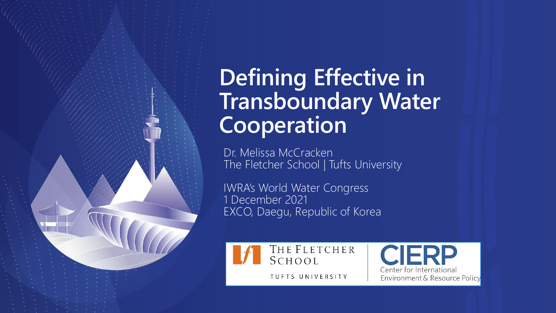## **Defining Effective in Transboundary Water Cooperation**

Dr. Melissa McCracken The Fletcher School | Tufts University

IWRA's World Water Congress 1 December 2021 EXCO, Daegu, Republic of Korea

THE FLETCHER SCHOOL

Center for Internationa TUFTS UNIVERSITY Environment & Resource Policy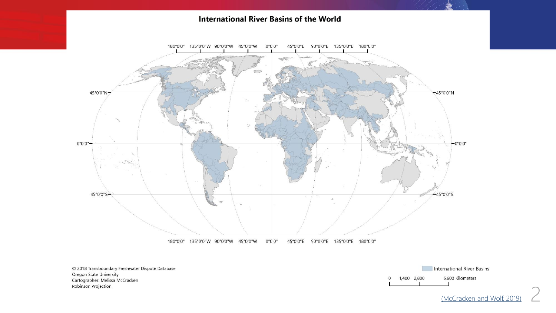

[\(McCracken and Wolf, 2019\)](https://transboundarywaters.science.oregonstate.edu/sites/transboundarywaters.science.oregonstate.edu/files/Database/Data/register/McCracken_Wolf_2019.pdf)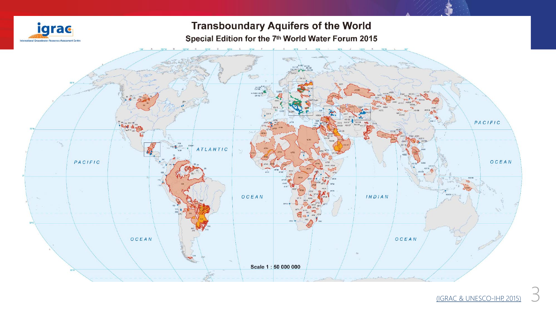

### **Transboundary Aquifers of the World**

Special Edition for the 7th World Water Forum 2015



(IGRAC [& UNESCO-IHP, 2015\)](https://www.un-igrac.org/resource/transboundary-aquifers-world-map-2015) 3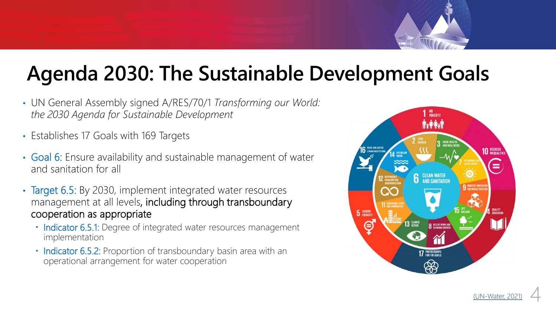## **Agenda 2030: The Sustainable Development Goals**

- UN General Assembly signed A/RES/70/1 *Transforming our World: the 2030 Agenda for Sustainable Development*
- Establishes 17 Goals with 169 Targets
- Goal 6: Ensure availability and sustainable management of water and sanitation for all
- Target 6.5: By 2030, implement integrated water resources management at all levels, including through transboundary cooperation as appropriate
	- Indicator 6.5.1: Degree of integrated water resources management implementation
	- Indicator 6.5.2: Proportion of transboundary basin area with an operational arrangement for water cooperation

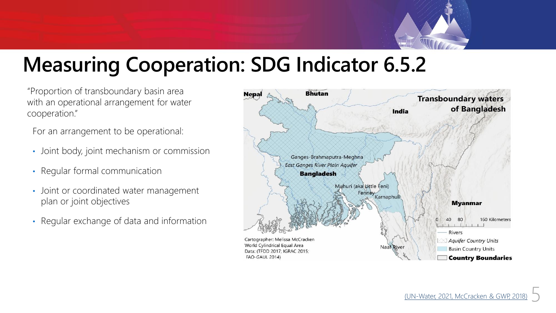

### **Measuring Cooperation: SDG Indicator 6.5.2**

"Proportion of transboundary basin area with an operational arrangement for water cooperation."

For an arrangement to be operational:

- Joint body, joint mechanism or commission
- Regular formal communication
- Joint or coordinated water management plan or joint objectives
- Regular exchange of data and information

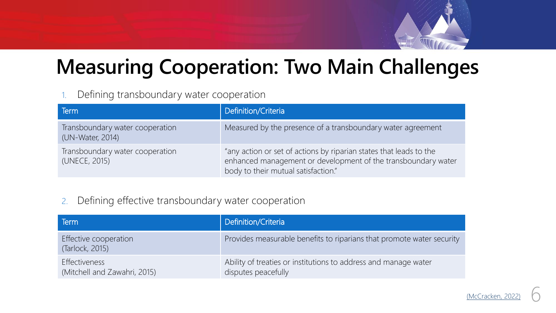

### **Measuring Cooperation: Two Main Challenges**

#### 1. Defining transboundary water cooperation

| Term                                                | Definition/Criteria                                                                                                                                                        |
|-----------------------------------------------------|----------------------------------------------------------------------------------------------------------------------------------------------------------------------------|
| Transboundary water cooperation<br>(UN-Water, 2014) | Measured by the presence of a transboundary water agreement                                                                                                                |
| Transboundary water cooperation<br>(UNECE, 2015)    | "any action or set of actions by riparian states that leads to the<br>enhanced management or development of the transboundary water<br>body to their mutual satisfaction." |

#### 2. Defining effective transboundary water cooperation

| Term                                          | Definition/Criteria                                                                    |
|-----------------------------------------------|----------------------------------------------------------------------------------------|
| Effective cooperation<br>(Tarlock, 2015)      | Provides measurable benefits to riparians that promote water security                  |
| Effectiveness<br>(Mitchell and Zawahri, 2015) | Ability of treaties or institutions to address and manage water<br>disputes peacefully |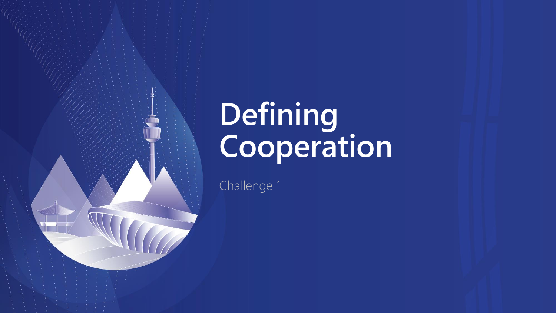# **Defining Cooperation**

Challenge 1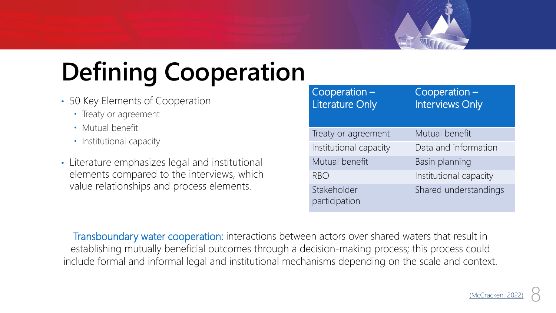

- 50 Key Elements of Cooperation
	- Treaty or agreement
	- Mutual benefit
	- Institutional capacity
- Literature emphasizes legal and institutional elements compared to the interviews, which value relationships and process elements.

| $Cooperation -$<br><b>Literature Only</b> | $Cooperation$ –<br><b>Interviews Only</b> |
|-------------------------------------------|-------------------------------------------|
| Treaty or agreement                       | Mutual benefit                            |
| Institutional capacity                    | Data and information                      |
| Mutual benefit                            | Basin planning                            |
| <b>RBO</b>                                | Institutional capacity                    |
| Stakeholder<br>participation              | Shared understandings                     |

Transboundary water cooperation: interactions between actors over shared waters that result in establishing mutually beneficial outcomes through a decision-making process; this process could include formal and informal legal and institutional mechanisms depending on the scale and context.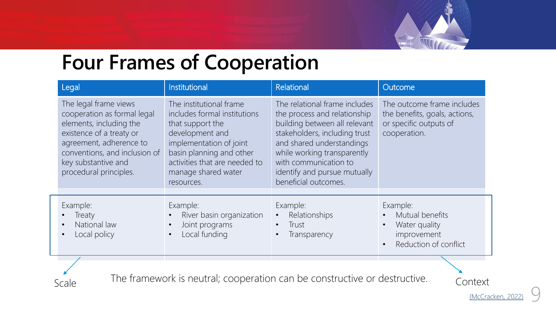

### **Four Frames of Cooperation**

| Legal                                                                                                                                                                                                                    | Institutional                                                                                                                                                                                                               | Relational                                                                                                                                                                                                                                                                   | Outcome                                                                                                        |
|--------------------------------------------------------------------------------------------------------------------------------------------------------------------------------------------------------------------------|-----------------------------------------------------------------------------------------------------------------------------------------------------------------------------------------------------------------------------|------------------------------------------------------------------------------------------------------------------------------------------------------------------------------------------------------------------------------------------------------------------------------|----------------------------------------------------------------------------------------------------------------|
| The legal frame views<br>cooperation as formal legal<br>elements, including the<br>existence of a treaty or<br>agreement, adherence to<br>conventions, and inclusion of<br>key substantive and<br>procedural principles. | The institutional frame<br>includes formal institutions<br>that support the<br>development and<br>implementation of joint<br>basin planning and other<br>activities that are needed to<br>manage shared water<br>resources. | The relational frame includes<br>the process and relationship<br>building between all relevant<br>stakeholders, including trust<br>and shared understandings<br>while working transparently<br>with communication to<br>identify and pursue mutually<br>beneficial outcomes. | The outcome frame includes<br>the benefits, goals, actions,<br>or specific outputs of<br>cooperation.          |
| Example:<br>Treaty<br>National law<br>$\bullet$<br>Local policy<br>$\bullet$                                                                                                                                             | Example:<br>River basin organization<br>Joint programs<br>Local funding<br>$\bullet$                                                                                                                                        | Example:<br>Relationships<br>Trust<br>Transparency                                                                                                                                                                                                                           | Example:<br>Mutual benefits<br>Water quality<br>$\bullet$<br>improvement<br>Reduction of conflict<br>$\bullet$ |

The framework is neutral; cooperation can be constructive or destructive. Context

(McCracken, 20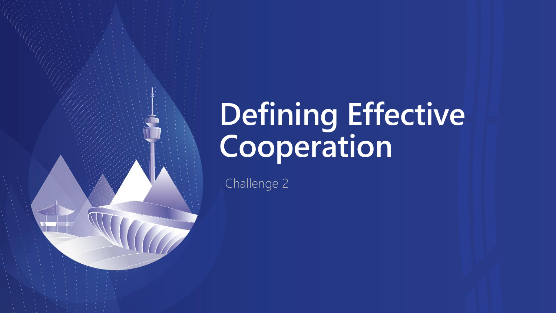# **Defining Effective Cooperation**

Challenge 2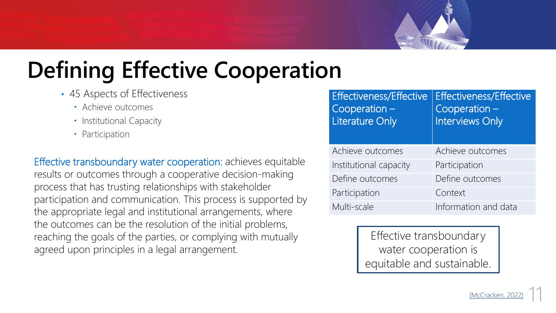

# **Defining Effective Cooperation**

- 45 Aspects of Effectiveness
	- Achieve outcomes
	- Institutional Capacity
	- Participation

Effective transboundary water cooperation: achieves equitable results or outcomes through a cooperative decision-making process that has trusting relationships with stakeholder participation and communication. This process is supported by the appropriate legal and institutional arrangements, where the outcomes can be the resolution of the initial problems, reaching the goals of the parties, or complying with mutually agreed upon principles in a legal arrangement.

| <b>Effectiveness/Effective</b><br>$Cooperation$ –<br><b>Literature Only</b> | <b>Effectiveness/Effective</b><br>$Cooperation$ –<br><b>Interviews Only</b> |
|-----------------------------------------------------------------------------|-----------------------------------------------------------------------------|
| Achieve outcomes                                                            | Achieve outcomes                                                            |
| Institutional capacity                                                      | Participation                                                               |
| Define outcomes                                                             | Define outcomes                                                             |
| Participation                                                               | Context                                                                     |
| Multi-scale                                                                 | Information and data                                                        |

Effective transboundary water cooperation is equitable and sustainable.

11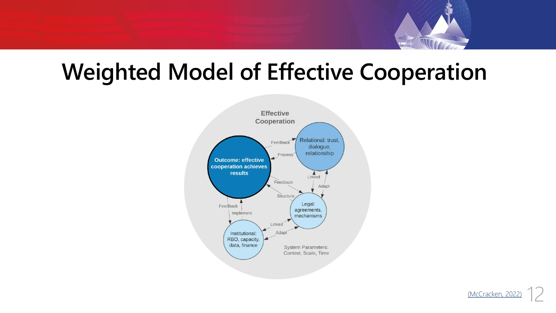

## **Weighted Model of Effective Cooperation**



(McCracken, 202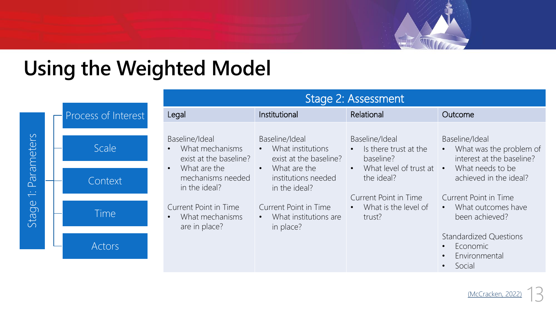

## **Using the Weighted Model**

|                                            |                     | Stage 2: Assessment                                                                                                                                                                                |                                                                                                                                                                                                    |                                                                                                                                                                                               |                                                                                                                      |
|--------------------------------------------|---------------------|----------------------------------------------------------------------------------------------------------------------------------------------------------------------------------------------------|----------------------------------------------------------------------------------------------------------------------------------------------------------------------------------------------------|-----------------------------------------------------------------------------------------------------------------------------------------------------------------------------------------------|----------------------------------------------------------------------------------------------------------------------|
|                                            | Process of Interest | Legal                                                                                                                                                                                              | Institutional                                                                                                                                                                                      | Relational                                                                                                                                                                                    | Outcome                                                                                                              |
| Parameters<br>$\overline{\nabla}$<br>Stage | Scale               | Baseline/Ideal<br>What mechanisms<br>exist at the baseline?<br>What are the<br>mechanisms needed<br>in the ideal?<br><b>Current Point in Time</b><br>What mechanisms<br>$\bullet$<br>are in place? | Baseline/Ideal<br>• What institutions<br>exist at the baseline?<br>$\bullet$ What are the<br>institutions needed<br>in the ideal?<br>Current Point in Time<br>• What institutions are<br>in place? | Baseline/Ideal<br>• Is there trust at the<br>baseline?<br>What level of trust at $\cdot$<br>$\bullet$<br>the ideal?<br>Current Point in Time<br>What is the level of<br>$\bullet$ .<br>trust? | Baseline/Ideal<br>What was the problem of<br>interest at the baseline?<br>What needs to be<br>achieved in the ideal? |
|                                            | Context             |                                                                                                                                                                                                    |                                                                                                                                                                                                    |                                                                                                                                                                                               |                                                                                                                      |
|                                            | Time                |                                                                                                                                                                                                    |                                                                                                                                                                                                    |                                                                                                                                                                                               | Current Point in Time<br>• What outcomes have<br>been achieved?                                                      |
|                                            | Actors              |                                                                                                                                                                                                    |                                                                                                                                                                                                    |                                                                                                                                                                                               | <b>Standardized Questions</b><br>Economic<br>Environmental<br>Social                                                 |

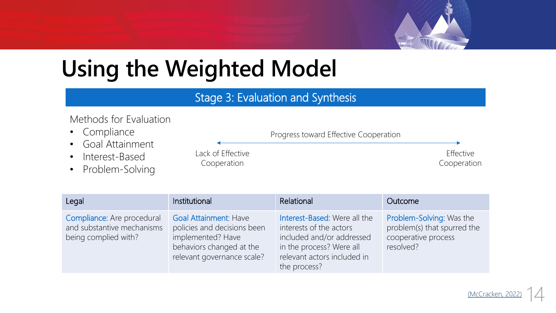

# **Using the Weighted Model**

### Stage 3: Evaluation and Synthesis

#### Methods for Evaluation

- Compliance
- Goal Attainment
- Interest-Based
- Problem-Solving

Lack of Effective Cooperation

#### Progress toward Effective Cooperation

Effective Cooperation

| Legal                                                                            | Institutional                                                                                                                       | Relational                                                                                                                                                      | Outcome                                                                                     |
|----------------------------------------------------------------------------------|-------------------------------------------------------------------------------------------------------------------------------------|-----------------------------------------------------------------------------------------------------------------------------------------------------------------|---------------------------------------------------------------------------------------------|
| Compliance: Are procedural<br>and substantive mechanisms<br>being complied with? | Goal Attainment: Have<br>policies and decisions been<br>implemented? Have<br>behaviors changed at the<br>relevant governance scale? | Interest-Based: Were all the<br>interests of the actors<br>included and/or addressed<br>in the process? Were all<br>relevant actors included in<br>the process? | Problem-Solving: Was the<br>problem(s) that spurred the<br>cooperative process<br>resolved? |

14 (McCracken, 202)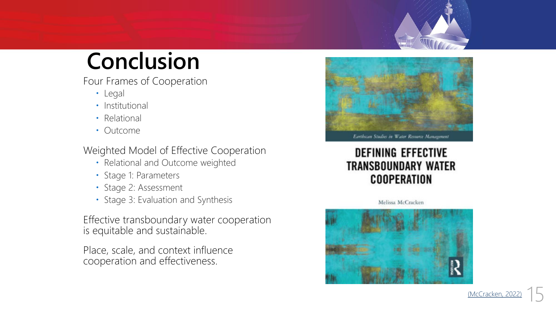# **Conclusion**

Four Frames of Cooperation

- Legal
- Institutional
- Relational
- Outcome

Weighted Model of Effective Cooperation

- Relational and Outcome weighted
- Stage 1: Parameters
- Stage 2: Assessment
- Stage 3: Evaluation and Synthesis

Effective transboundary water cooperation is equitable and sustainable.

Place, scale, and context influence cooperation and effectiveness.





### **DEFINING EFFECTIVE TRANSBOUNDARY WATER COOPERATION**

Melissa McCracken



(McCracken, 20